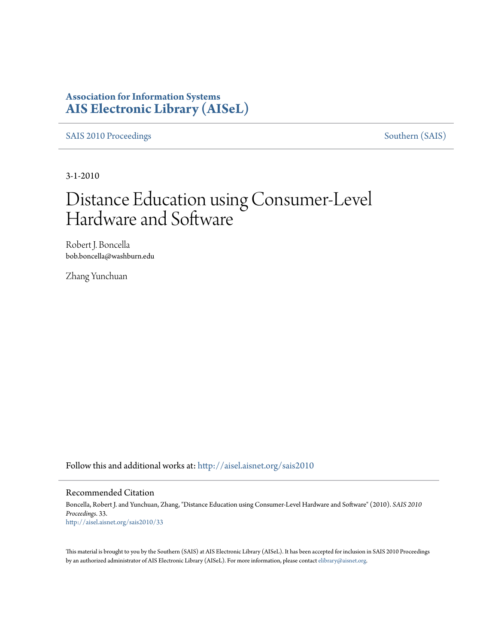### **Association for Information Systems [AIS Electronic Library \(AISeL\)](http://aisel.aisnet.org?utm_source=aisel.aisnet.org%2Fsais2010%2F33&utm_medium=PDF&utm_campaign=PDFCoverPages)**

[SAIS 2010 Proceedings](http://aisel.aisnet.org/sais2010?utm_source=aisel.aisnet.org%2Fsais2010%2F33&utm_medium=PDF&utm_campaign=PDFCoverPages) [Southern \(SAIS\)](http://aisel.aisnet.org/sais?utm_source=aisel.aisnet.org%2Fsais2010%2F33&utm_medium=PDF&utm_campaign=PDFCoverPages)

3-1-2010

# Distance Education using Consumer-Level Hardware and Software

Robert J. Boncella bob.boncella@washburn.edu

Zhang Yunchuan

Follow this and additional works at: [http://aisel.aisnet.org/sais2010](http://aisel.aisnet.org/sais2010?utm_source=aisel.aisnet.org%2Fsais2010%2F33&utm_medium=PDF&utm_campaign=PDFCoverPages)

#### Recommended Citation

Boncella, Robert J. and Yunchuan, Zhang, "Distance Education using Consumer-Level Hardware and Software" (2010). *SAIS 2010 Proceedings*. 33. [http://aisel.aisnet.org/sais2010/33](http://aisel.aisnet.org/sais2010/33?utm_source=aisel.aisnet.org%2Fsais2010%2F33&utm_medium=PDF&utm_campaign=PDFCoverPages)

This material is brought to you by the Southern (SAIS) at AIS Electronic Library (AISeL). It has been accepted for inclusion in SAIS 2010 Proceedings by an authorized administrator of AIS Electronic Library (AISeL). For more information, please contact [elibrary@aisnet.org](mailto:elibrary@aisnet.org%3E).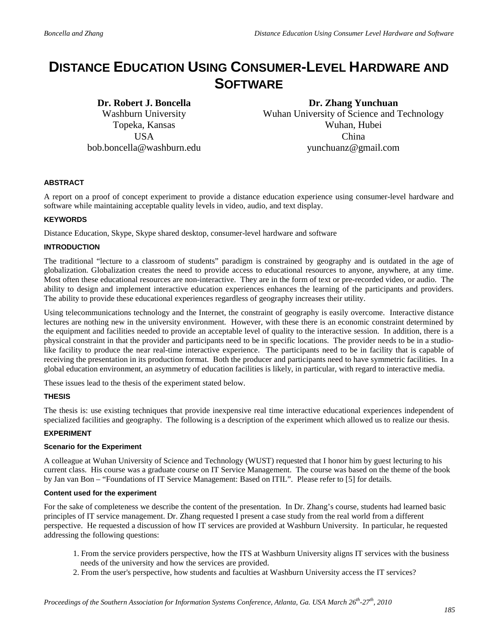## **DISTANCE EDUCATION USING CONSUMER-LEVEL HARDWARE AND SOFTWARE**

**Dr. Robert J. Boncella** Washburn University Topeka, Kansas **USA** bob.boncella@washburn.edu

**Dr. Zhang Yunchuan**  Wuhan University of Science and Technology Wuhan, Hubei China yunchuanz@gmail.com

#### **ABSTRACT**

A report on a proof of concept experiment to provide a distance education experience using consumer-level hardware and software while maintaining acceptable quality levels in video, audio, and text display.

#### **KEYWORDS**

Distance Education, Skype, Skype shared desktop, consumer-level hardware and software

#### **INTRODUCTION**

The traditional "lecture to a classroom of students" paradigm is constrained by geography and is outdated in the age of globalization. Globalization creates the need to provide access to educational resources to anyone, anywhere, at any time. Most often these educational resources are non-interactive. They are in the form of text or pre-recorded video, or audio. The ability to design and implement interactive education experiences enhances the learning of the participants and providers. The ability to provide these educational experiences regardless of geography increases their utility.

Using telecommunications technology and the Internet, the constraint of geography is easily overcome. Interactive distance lectures are nothing new in the university environment. However, with these there is an economic constraint determined by the equipment and facilities needed to provide an acceptable level of quality to the interactive session. In addition, there is a physical constraint in that the provider and participants need to be in specific locations. The provider needs to be in a studiolike facility to produce the near real-time interactive experience. The participants need to be in facility that is capable of receiving the presentation in its production format. Both the producer and participants need to have symmetric facilities. In a global education environment, an asymmetry of education facilities is likely, in particular, with regard to interactive media.

These issues lead to the thesis of the experiment stated below.

#### **THESIS**

The thesis is: use existing techniques that provide inexpensive real time interactive educational experiences independent of specialized facilities and geography. The following is a description of the experiment which allowed us to realize our thesis.

#### **EXPERIMENT**

#### **Scenario for the Experiment**

A colleague at Wuhan University of Science and Technology (WUST) requested that I honor him by guest lecturing to his current class. His course was a graduate course on IT Service Management. The course was based on the theme of the book by Jan van Bon – "Foundations of IT Service Management: Based on ITIL". Please refer to [5] for details.

#### **Content used for the experiment**

For the sake of completeness we describe the content of the presentation. In Dr. Zhang's course, students had learned basic principles of IT service management. Dr. Zhang requested I present a case study from the real world from a different perspective. He requested a discussion of how IT services are provided at Washburn University. In particular, he requested addressing the following questions:

- 1. From the service providers perspective, how the ITS at Washburn University aligns IT services with the business needs of the university and how the services are provided.
- 2. From the user's perspective, how students and faculties at Washburn University access the IT services?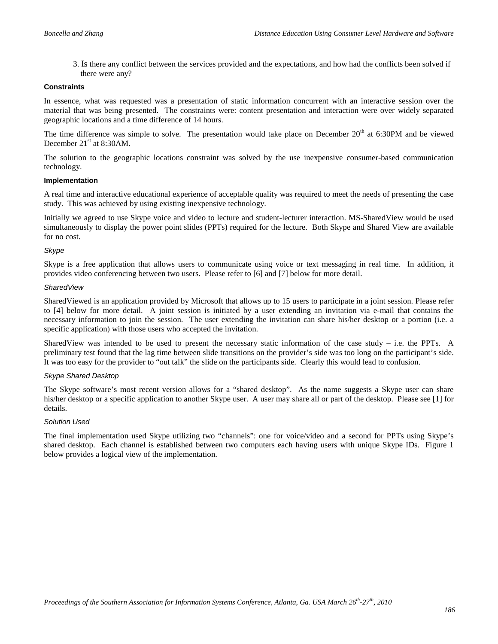3. Is there any conflict between the services provided and the expectations, and how had the conflicts been solved if there were any?

#### **Constraints**

In essence, what was requested was a presentation of static information concurrent with an interactive session over the material that was being presented. The constraints were: content presentation and interaction were over widely separated geographic locations and a time difference of 14 hours.

The time difference was simple to solve. The presentation would take place on December  $20<sup>th</sup>$  at 6:30PM and be viewed December 21<sup>st</sup> at 8:30AM.

The solution to the geographic locations constraint was solved by the use inexpensive consumer-based communication technology.

#### **Implementation**

A real time and interactive educational experience of acceptable quality was required to meet the needs of presenting the case study. This was achieved by using existing inexpensive technology.

Initially we agreed to use Skype voice and video to lecture and student-lecturer interaction. MS-SharedView would be used simultaneously to display the power point slides (PPTs) required for the lecture. Both Skype and Shared View are available for no cost.

#### *Skype*

Skype is a free application that allows users to communicate using voice or text messaging in real time. In addition, it provides video conferencing between two users. Please refer to [6] and [7] below for more detail.

#### *SharedView*

SharedViewed is an application provided by Microsoft that allows up to 15 users to participate in a joint session. Please refer to [4] below for more detail. A joint session is initiated by a user extending an invitation via e-mail that contains the necessary information to join the session. The user extending the invitation can share his/her desktop or a portion (i.e. a specific application) with those users who accepted the invitation.

SharedView was intended to be used to present the necessary static information of the case study – i.e. the PPTs. A preliminary test found that the lag time between slide transitions on the provider's side was too long on the participant's side. It was too easy for the provider to "out talk" the slide on the participants side. Clearly this would lead to confusion.

#### *Skype Shared Desktop*

The Skype software's most recent version allows for a "shared desktop". As the name suggests a Skype user can share his/her desktop or a specific application to another Skype user. A user may share all or part of the desktop. Please see [1] for details.

#### *Solution Used*

The final implementation used Skype utilizing two "channels": one for voice/video and a second for PPTs using Skype's shared desktop. Each channel is established between two computers each having users with unique Skype IDs. Figure 1 below provides a logical view of the implementation.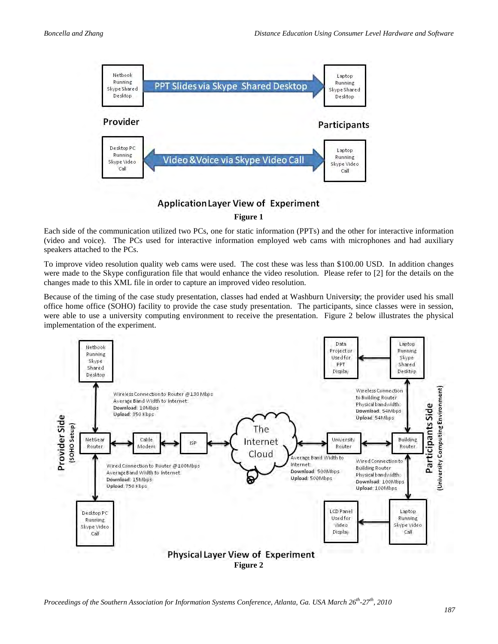

**Application Layer View of Experiment** 

**Figure 1**

Each side of the communication utilized two PCs, one for static information (PPTs) and the other for interactive information (video and voice). The PCs used for interactive information employed web cams with microphones and had auxiliary speakers attached to the PCs.

To improve video resolution quality web cams were used. The cost these was less than \$100.00 USD. In addition changes were made to the Skype configuration file that would enhance the video resolution. Please refer to [2] for the details on the changes made to this XML file in order to capture an improved video resolution.

Because of the timing of the case study presentation, classes had ended at Washburn Universit*y*; the provider used his small office home office (SOHO) facility to provide the case study presentation. The participants, since classes were in session, were able to use a university computing environment to receive the presentation. Figure 2 below illustrates the physical implementation of the experiment.

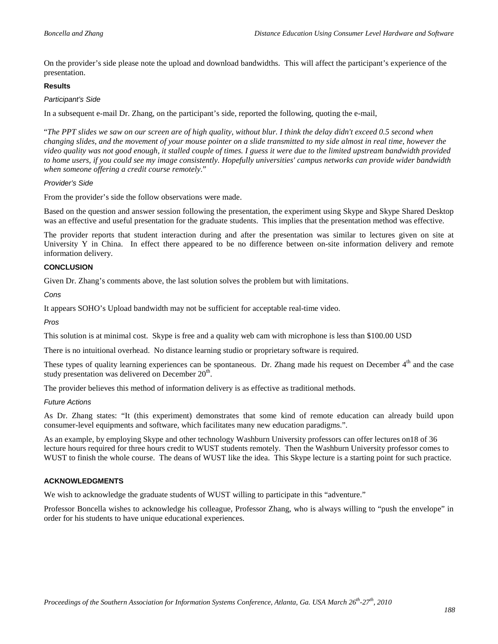On the provider's side please note the upload and download bandwidths. This will affect the participant's experience of the presentation.

#### **Results**

#### *Participant's Side*

In a subsequent e-mail Dr. Zhang, on the participant's side, reported the following, quoting the e-mail,

"*The PPT slides we saw on our screen are of high quality, without blur. I think the delay didn't exceed 0.5 second when changing slides, and the movement of your mouse pointer on a slide transmitted to my side almost in real time, however the video quality was not good enough, it stalled couple of times. I guess it were due to the limited upstream bandwidth provided to home users, if you could see my image consistently. Hopefully universities' campus networks can provide wider bandwidth when someone offering a credit course remotely*."

#### *Provider's Side*

From the provider's side the follow observations were made.

Based on the question and answer session following the presentation, the experiment using Skype and Skype Shared Desktop was an effective and useful presentation for the graduate students. This implies that the presentation method was effective.

The provider reports that student interaction during and after the presentation was similar to lectures given on site at University Y in China. In effect there appeared to be no difference between on-site information delivery and remote information delivery.

#### **CONCLUSION**

Given Dr. Zhang's comments above, the last solution solves the problem but with limitations.

*Cons*

It appears SOHO's Upload bandwidth may not be sufficient for acceptable real-time video.

*Pros* 

This solution is at minimal cost. Skype is free and a quality web cam with microphone is less than \$100.00 USD

There is no intuitional overhead. No distance learning studio or proprietary software is required.

These types of quality learning experiences can be spontaneous. Dr. Zhang made his request on December 4<sup>th</sup> and the case study presentation was delivered on December  $20<sup>th</sup>$ .

The provider believes this method of information delivery is as effective as traditional methods.

#### *Future Actions*

As Dr. Zhang states: "It (this experiment) demonstrates that some kind of remote education can already build upon consumer-level equipments and software, which facilitates many new education paradigms.".

As an example, by employing Skype and other technology Washburn University professors can offer lectures on18 of 36 lecture hours required for three hours credit to WUST students remotely. Then the Washburn University professor comes to WUST to finish the whole course. The deans of WUST like the idea. This Skype lecture is a starting point for such practice.

#### **ACKNOWLEDGMENTS**

We wish to acknowledge the graduate students of WUST willing to participate in this "adventure."

Professor Boncella wishes to acknowledge his colleague, Professor Zhang, who is always willing to "push the envelope" in order for his students to have unique educational experiences.